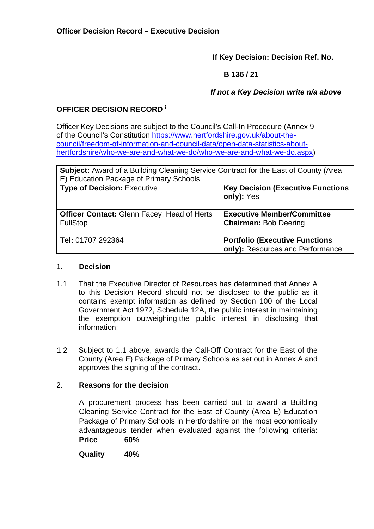**If Key Decision: Decision Ref. No.** 

 **B 136 / 21** 

 *If not a Key Decision write n/a above* 

# **OFFICER DECISION RECORD <sup>i</sup>**

Officer Key Decisions are subject to the Council's Call-In Procedure (Annex 9 of the Council's Constitution [https://www.hertfordshire.gov.uk/about-the](https://www.hertfordshire.gov.uk/about-the-council/freedom-of-information-and-council-data/open-data-statistics-about-hertfordshire/who-we-are-and-what-we-do/who-we-are-and-what-we-do.aspx)[council/freedom-of-information-and-council-data/open-data-statistics-about](https://www.hertfordshire.gov.uk/about-the-council/freedom-of-information-and-council-data/open-data-statistics-about-hertfordshire/who-we-are-and-what-we-do/who-we-are-and-what-we-do.aspx)[hertfordshire/who-we-are-and-what-we-do/who-we-are-and-what-we-do.aspx\)](https://www.hertfordshire.gov.uk/about-the-council/freedom-of-information-and-council-data/open-data-statistics-about-hertfordshire/who-we-are-and-what-we-do/who-we-are-and-what-we-do.aspx)

| <b>Subject:</b> Award of a Building Cleaning Service Contract for the East of County (Area<br>E) Education Package of Primary Schools |                                                                           |  |
|---------------------------------------------------------------------------------------------------------------------------------------|---------------------------------------------------------------------------|--|
| <b>Type of Decision: Executive</b>                                                                                                    | <b>Key Decision (Executive Functions)</b><br>only): Yes                   |  |
| <b>Officer Contact: Glenn Facey, Head of Herts</b><br><b>FullStop</b>                                                                 | <b>Executive Member/Committee</b><br><b>Chairman: Bob Deering</b>         |  |
| Tel: 01707 292364                                                                                                                     | <b>Portfolio (Executive Functions</b><br>only): Resources and Performance |  |

### 1. **Decision**

- 1.1 That the Executive Director of Resources has determined that Annex A to this Decision Record should not be disclosed to the public as it contains exempt information as defined by Section 100 of the Local Government Act 1972, Schedule 12A, the public interest in maintaining the exemption outweighing the public interest in disclosing that information;
- 1.2 Subject to 1.1 above, awards the Call-Off Contract for the East of the County (Area E) Package of Primary Schools as set out in Annex A and approves the signing of the contract.

## 2. **Reasons for the decision**

A procurement process has been carried out to award a Building Cleaning Service Contract for the East of County (Area E) Education Package of Primary Schools in Hertfordshire on the most economically advantageous tender when evaluated against the following criteria: **Price 60%** 

**Quality 40%**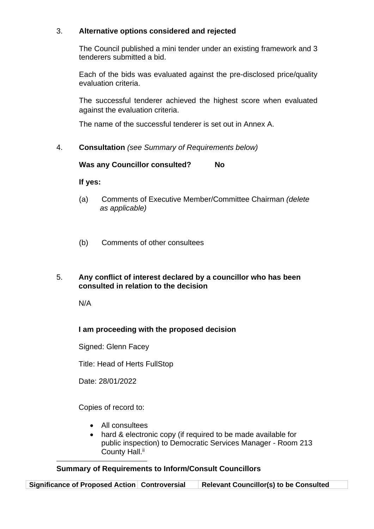### 3. **Alternative options considered and rejected**

The Council published a mini tender under an existing framework and 3 tenderers submitted a bid.

Each of the bids was evaluated against the pre-disclosed price/quality evaluation criteria.

The successful tenderer achieved the highest score when evaluated against the evaluation criteria.

The name of the successful tenderer is set out in Annex A.

4. **Consultation** *(see Summary of Requirements below)*

**Was any Councillor consulted? No** 

**If yes:** 

- (a) Comments of Executive Member/Committee Chairman *(delete as applicable)*
- (b) Comments of other consultees
- 5. **Any conflict of interest declared by a councillor who has been consulted in relation to the decision**

N/A

## **I am proceeding with the proposed decision**

Signed: Glenn Facey

Title: Head of Herts FullStop

Date: 28/01/2022

Copies of record to:

- All consultees
- hard & electronic copy (if required to be made available for public inspection) to Democratic Services Manager - Room 213 County Hall.<sup>ii</sup>

## **Summary of Requirements to Inform/Consult Councillors**

**Significance of Proposed Action Controversial Relevant Councillor(s) to be Consulted**